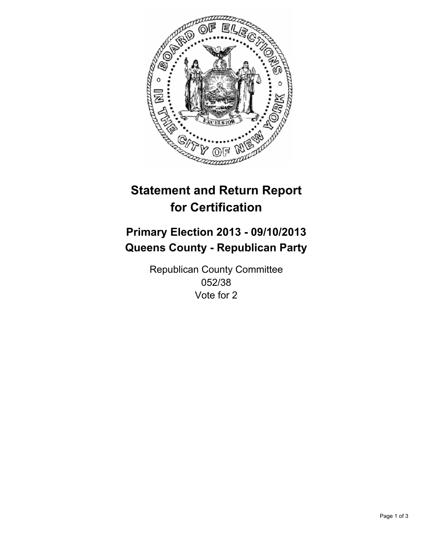

# **Statement and Return Report for Certification**

## **Primary Election 2013 - 09/10/2013 Queens County - Republican Party**

Republican County Committee 052/38 Vote for 2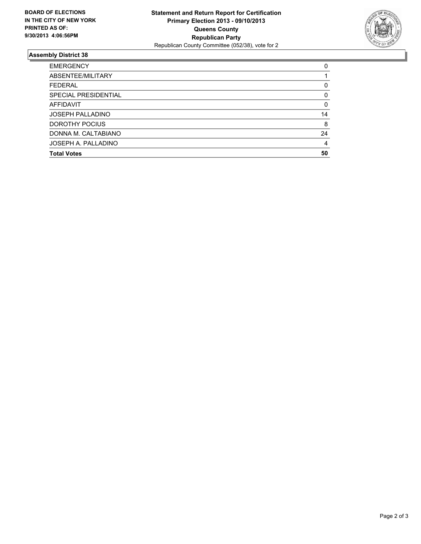

### **Assembly District 38**

| <b>EMERGENCY</b>        | 0        |
|-------------------------|----------|
| ABSENTEE/MILITARY       |          |
| <b>FEDERAL</b>          | 0        |
| SPECIAL PRESIDENTIAL    | 0        |
| <b>AFFIDAVIT</b>        | $\Omega$ |
| <b>JOSEPH PALLADINO</b> | 14       |
| DOROTHY POCIUS          | 8        |
| DONNA M. CALTABIANO     | 24       |
| JOSEPH A. PALLADINO     | 4        |
| <b>Total Votes</b>      | 50       |